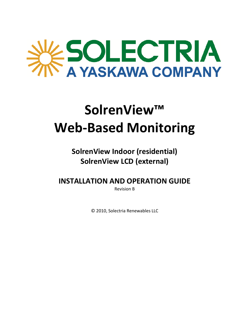# ESOLECTRIA

## **SolrenView™ Web‐Based Monitoring**

### **SolrenView Indoor (residential) SolrenView LCD (external)**

**INSTALLATION AND OPERATION GUIDE**

Revision B

© 2010, Solectria Renewables LLC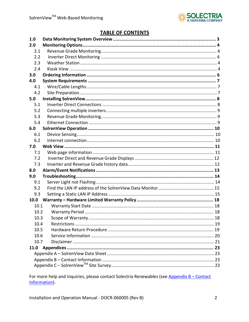

#### **TABLE OF CONTENTS**

| 1.0  |    |
|------|----|
| 2.0  |    |
| 2.1  |    |
| 2.2  |    |
| 2.3  |    |
| 2.4  |    |
| 3.0  |    |
| 4.0  |    |
| 4.1  |    |
| 4.2  |    |
| 5.0  |    |
| 5.1  |    |
| 5.2  |    |
| 5.3  |    |
| 5.4  |    |
| 6.0  |    |
| 6.1  |    |
| 6.2  |    |
| 7.0  |    |
| 7.1  |    |
| 7.2  |    |
| 7.3  |    |
| 8.0  |    |
| 9.0  |    |
| 9.1  |    |
| 9.2  |    |
| 9.3  |    |
| 10.0 |    |
| 10.1 |    |
| 10.2 |    |
| 103  | 18 |
| 10.4 |    |
| 10.5 |    |
| 10.6 |    |
| 10.7 |    |
| 11.0 |    |
|      |    |
|      |    |
|      |    |
|      |    |

For more help and inquiries, please contact Solectria Renewables (see Appendix B - Contact Information).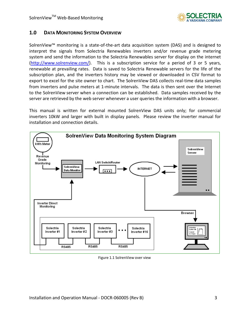

#### **1.0 DATA MONITORING SYSTEM OVERVIEW**

SolrenView™ monitoring is a state‐of‐the‐art data acquisition system (DAS) and is designed to interpret the signals from Solectria Renewables inverters and/or revenue grade metering system and send the information to the Solectria Renewables server for display on the internet (http://www.solrenview.com/). This is a subscription service for a period of 3 or 5 years, renewable at prevailing rates. Data is saved to Solectria Renewable servers for the life of the subscription plan, and the inverters history may be viewed or downloaded in CSV format to export to excel for the site owner to chart. The SolrenView DAS collects real-time data samples from inverters and pulse meters at 1-minute intervals. The data is then sent over the Internet to the SolrenView server when a connection can be established. Data samples received by the server are retrieved by the web server whenever a user queries the information with a browser.

This manual is written for external mounted SolrenView DAS units only; for commercial inverters 10kW and larger with built in display panels. Please review the inverter manual for installation and connection details.



Figure 1.1 SolrenView over view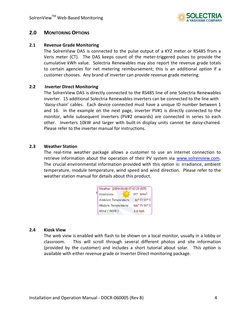

#### **2.0 MONITORING OPTIONS**

#### **2.1 Revenue Grade Monitoring**

The SolrenView DAS is connected to the pulse output of a KYZ meter or RS485 from a Veris meter (CT). The DAS keeps count of the meter‐triggered pulses to provide the cumulative kWh value. Solectria Renewables may also report the revenue grade totals to certain agencies for net metering reimbursement; this is an additional *option* if a customer chooses. Any brand of inverter can provide revenue grade metering.

#### **2.2 Inverter Direct Monitoring**

The SolrenView DAS is directly connected to the RS485 line of one Solectria Renewables inverter. 15 additional Solectria Renewables inverters can be connected to the line with 'daisy‐chain' cables. Each device connected must have a unique ID number between 1 and 16. In the example on the next page, inverter PV#1 is directly connected to the monitor, while subsequent inverters (PV#2 onwards) are connected in series to each other. Inverters 10kW and larger with built‐in display units cannot be daisy‐chained. Please refer to the inverter manual for instructions.

#### **2.3 Weather Station**

The real-time weather package allows a customer to use an internet connection to retrieve information about the operation of their PV system via www.solrenview.com. The crucial environmental information provided with this *option* is: irradiance, ambient temperature, module temperature, wind speed and wind direction. Please refer to the weather station manual for details about this product.

| Weather [2010-08-09 17:12:20 EDT] |              |
|-----------------------------------|--------------|
| Irradiance:                       | $317$ $W/m2$ |
| Ambient Temperature:              | 92" F/33" C  |
| Module Temperature:               | 100° F/38° C |
| Wind (WSW):                       | $0.0$ mph    |

#### **2.4 Kiosk View**

The web view is enabled with flash to be shown on a local monitor, usually in a lobby or classroom. This will scroll through several different photos and site information (provided by the customer) and includes a short tutorial about solar. This *option* is available with either revenue grade or Inverter Direct monitoring package.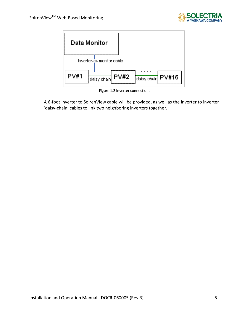



Figure 1.2 Inverter connections

A 6‐foot inverter to SolrenView cable will be provided, as well as the inverter to inverter 'daisy‐chain' cables to link two neighboring inverters together.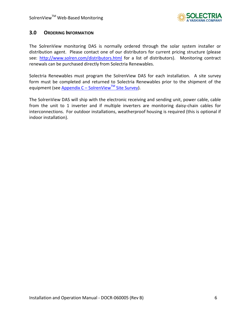

#### **3.0 ORDERING INFORMATION**

The SolrenView monitoring DAS is normally ordered through the solar system installer or distribution agent. Please contact one of our distributors for current pricing structure (please see: http://www.solren.com/distributors.html for a list of distributors). Monitoring contract renewals can be purchased directly from Solectria Renewables.

Solectria Renewables must program the SolrenView DAS for each installation. A site survey form must be completed and returned to Solectria Renewables prior to the shipment of the equipment (see Appendix  $C -$  SolrenView<sup>TM</sup> Site Survey).

The SolrenView DAS will ship with the electronic receiving and sending unit, power cable, cable from the unit to 1 inverter and if multiple inverters are monitoring daisy-chain cables for interconnections. For outdoor installations, weatherproof housing is required (this is optional if indoor installation).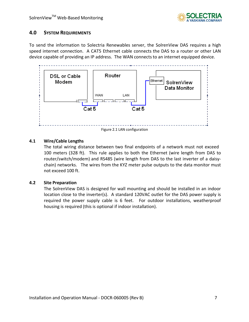

#### **4.0 SYSTEM REQUIREMENTS**

To send the information to Solectria Renewables server, the SolrenView DAS requires a high speed internet connection. A CAT5 Ethernet cable connects the DAS to a router or other LAN device capable of providing an IP address. The WAN connects to an internet equipped device.



Figure 2.1 LAN configuration

#### **4.1 Wire/Cable Lengths**

The total wiring distance between two final endpoints of a network must not exceed 100 meters (328 ft). This rule applies to both the Ethernet (wire length from DAS to router/switch/modem) and RS485 (wire length from DAS to the last inverter of a daisy‐ chain) networks. The wires from the KYZ meter pulse outputs to the data monitor must not exceed 100 ft.

#### **4.2 Site Preparation**

The SolrenView DAS is designed for wall mounting and should be installed in an indoor location close to the inverter(s). A standard 120VAC outlet for the DAS power supply is required the power supply cable is 6 feet. For outdoor installations, weatherproof housing is required (this is optional if indoor installation).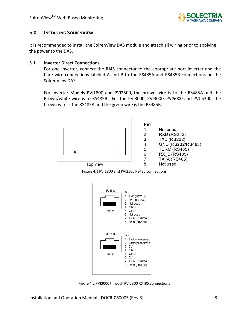

#### **5.0 INSTALLING SOLRENVIEW**

It is recommended to install the SolrenView DAS module and attach all wiring prior to applying the power to the DAS.

#### **5.1 Inverter Direct Connections**

For one inverter, connect the RJ45 connector to the appropriate port inverter and the bare wire connections labeled A and B to the RS485A and RS485B connections on the SolrenView DAS.

For Inverter Models PVI1800 and PVI2500, the brown wire is to the RS485A and the Brown/white wire is to RS485B. For the PVI3000, PVI4000, PVI5000 and PVI 5300, the brown wire is the RS485A and the green wire is the RS485B.





Figure 4.1 PVI1800 and PVI2500 RS485 connections



Figure 4.2 PVI3000 through PVI5300 RS485 connections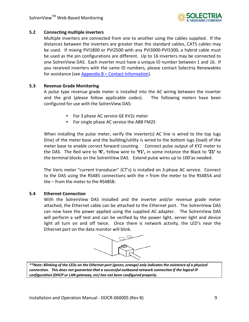

#### **5.2 Connecting multiple inverters**

Multiple inverters are connected from one to another using the cables supplied. If the distances between the inverters are greater than the standard cables, CAT5 cables may be used. If mixing PVI1800 or PVI2500 with any PVI3000-PVI5300, a hybrid cable must be used as the pin configurations are different. Up to 16 inverters may be connected to one SolrenView DAS. Each inverter must have a unique ID number between 1 and 16. If you received inverters with the same ID numbers, please contact Solectria Renewables for assistance (see Appendix  $B -$  Contact Information).

#### **5.3 Revenue Grade Monitoring**

A pulse type revenue grade meter is installed into the AC wiring between the inverter and the grid (please follow applicable codes). The following meters have been configured for use with the SolrenView DAS:

- For 3 phase AC service GE KV2c meter
- For single phase AC service the ABB FM2S

When installing the pulse meter, verify the inverter(s) AC line is wired to the top lugs (line) of the meter base and the building/utility is wired to the bottom lugs (load) of the meter base to enable correct forward counting. Connect pulse output of KYZ meter to the DAS. The Red wire to **'K',** Yellow wire to **'Y1',** in some instance the Black to **'Z1'** to the terminal blocks on the SolrenView DAS. Extend pulse wires up to 100'as needed.

The Veris meter "current transducer" (CT's) is installed on 3‐phase AC service. Connect to the DAS using the RS485 connections with the + from the meter to the RS485A and the – from the meter to the RS485B.

#### **5.4 Ethernet Connection**

With the SolrenView DAS installed and the inverter and/or revenue grade meter attached, the Ethernet cable can be attached to the Ethernet port. The SolrenView DAS can now have the power applied using the supplied AC adapter. The SolrenView DAS will perform a self test and can be verified by the power light, server light and device light all turn on and off twice. Once there is network activity, the LED's near the Ethernet port on the data monitor will blink.



\*\*Note: Blinking of the LEDs on the Ethernet port (green, orange) only indicates the existence of a physical *connection. This does not guarantee that a successful outbound network connection if the logical IP configuration (DHCP or LAN gateway, etc) has not been configured properly.*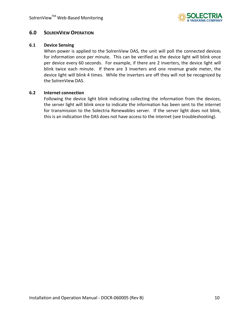

#### **6.0 SOLRENVIEW OPERATION**

#### **6.1 Device Sensing**

When power is applied to the SolrenView DAS, the unit will poll the connected devices for information once per minute. This can be verified as the device light will blink once per device every 60 seconds. For example, if there are 2 inverters, the device light will blink twice each minute. If there are 3 inverters and one revenue grade meter, the device light will blink 4 times. While the inverters are off they will not be recognized by the SolrenView DAS.

#### **6.2 Internet connection**

Following the device light blink indicating collecting the information from the devices, the server light will blink once to indicate the information has been sent to the internet for transmission to the Solectria Renewables server. If the server light does not blink, this is an indication the DAS does not have access to the internet (see troubleshooting).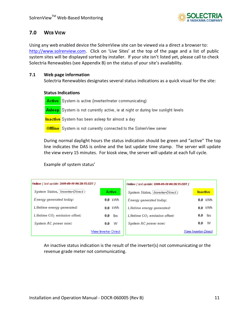

#### **7.0 WEB VIEW**

Using any web enabled device the SolrenView site can be viewed via a direct a browser to: http://www.solrenview.com. Click on 'Live Sites' at the top of the page and a list of public system sites will be displayed sorted by installer. If your site isn't listed yet, please call to check Solectria Renewables (see Appendix B) on the status of your site's availability.

#### **7.1 Web page information**

Solectria Renewables designates several status indications as a quick visual for the site:

#### **Status Indications**

Active System is active (inverter/meter communicating) **Asleep** System is not currently active, ie at night or during low sunlight levels **Inactive** System has been asleep for almost a day **Offline** System is not currently connected to the Solren View server

During normal daylight hours the status indication should be green and "active" The top line indicates the DAS is online and the last update time stamp. The server will update the view every 15 minutes. For kiosk view, the server will update at each full cycle.

#### Example of system status'

| Online / last update: 2008-09-10 00:28:15 EDT } |                             |     | Online f last update: 2008-09-10 00:28:15 EDT } |                             |           |
|-------------------------------------------------|-----------------------------|-----|-------------------------------------------------|-----------------------------|-----------|
| System Status, Inverter-Direct:                 | <b>Active</b>               |     | System Status, Inverter-Direct:                 | <b>Inactive</b>             |           |
| Energy generated today:                         | $0.0$ kWh                   |     | Energy generated today:                         |                             | $0.0$ kWh |
| Lifetime energy generated:                      | $0.0$ kWh                   |     | Lifetime energy generated:                      |                             | $0.0$ kWh |
| Lifetime CO <sub>2</sub> emission offset:       | 0.0                         | lbs | Lifetime CO <sub>2</sub> emission offset:       | 0.0                         | lbs       |
| System AC power now:                            | 0.0                         | W   | System AC power now:                            | 0.0                         | W         |
|                                                 | <b>View Inverter Direct</b> |     |                                                 | <b>View Inverter-Direct</b> |           |

An inactive status indication is the result of the inverter(s) not communicating or the revenue grade meter not communicating.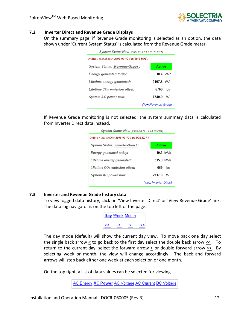

#### **7.2 Inverter Direct and Revenue Grade Displays**

On the summary page, if Revenue Grade monitoring is selected as an option, the data shown under 'Current System Status' is calculated from the Revenue Grade meter.

| System Status Now (2009-03-12 14:13:46 EDT)     |                           |
|-------------------------------------------------|---------------------------|
| Online / last update: 2009-03-12 14:13:19 EDT } |                           |
| System Status, Revenue-Grade :                  | Active                    |
| Energy generated today:                         | 30.4 kWh                  |
| Lifetime energy generated:                      | 5407.8 kWh                |
| Lifetime CO <sub>2</sub> emission offset:       | 6760<br>– Ihs             |
| System AC power now:                            | 7740.0<br>w               |
|                                                 | <b>View Revenue-Grade</b> |

If Revenue Grade monitoring is not selected, the system summary data is calculated from Inverter Direct data instead.

| System Status Now (2009-03-12 14:14:29 EDT)     |                             |            |  |  |  |  |
|-------------------------------------------------|-----------------------------|------------|--|--|--|--|
| Online / last update: 2009-03-12 14:12:35 EDT / |                             |            |  |  |  |  |
| System Status, Inverter-Direct:                 | Active                      |            |  |  |  |  |
| Energy generated today:                         |                             | $10.3$ kWh |  |  |  |  |
| Lifetime energy generated:                      | 535.3 kWh                   |            |  |  |  |  |
| Lifetime CO <sub>2</sub> emission offset:       |                             | 669 lhs    |  |  |  |  |
| System AC power now:                            | 2717.0 W                    |            |  |  |  |  |
|                                                 | <b>View Inverter-Direct</b> |            |  |  |  |  |

#### **7.3 Inverter and Revenue Grade history data**

To view logged data history, click on 'View Inverter Direct' or 'View Revenue Grade' link. The data log navigator is on the top left of the page.

|  | Day Week Month |  |
|--|----------------|--|
|  |                |  |

The day mode (default) will show the current day view. To move back one day select the single back arrow  $\leq$  to go back to the first day select the double back arrow  $\leq$ . To return to the current day, select the forward arrow  $\geq$  or double forward arrow  $\geq$ . By selecting week or month, the view will change accordingly. The back and forward arrows will step back either one week at each selection or one month.

On the top right, a list of data values can be selected for viewing.

AC Energy AC Power AC Voltage AC Current DC Voltage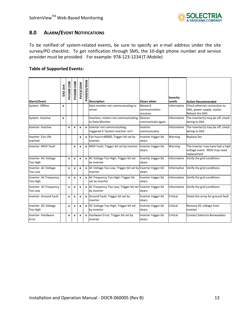

#### **8.0 ALARM/EVENT NOTIFICATIONS**

To be notified of system-related events, be sure to specify an e-mail address under the site survey/PO checklist. To get notification through SMS, the 10-digit phone number and service provider must be provided. For example: 978‐123‐1234 (T‐Mobile)

#### **Table of Supported Events:**

| Alarm/Event                              | DAS Unit         | PVI1800-2500 | PVI3000-5300 | PVI13/15kW       | PVI60/82/95kW | <b>Description</b>                                                          | <b>Clears when</b>                  | <b>Severity</b><br>Levels | <b>Action Recommended</b>                                                           |
|------------------------------------------|------------------|--------------|--------------|------------------|---------------|-----------------------------------------------------------------------------|-------------------------------------|---------------------------|-------------------------------------------------------------------------------------|
| System- Offline                          | x                |              |              |                  |               | Data monitor not communicating to<br>server                                 | Network<br>communication<br>resumes | Informative               | Check ethernet connection to<br>DAS, power supply, router.<br><b>Reboot the DAS</b> |
| System-Inactive                          | $\boldsymbol{x}$ |              |              |                  |               | Inverters, meters not communicating Devices<br>to Data Monitor              | communicate again                   | Informative               | The inverter(s) may be off, check<br>wiring to DAS                                  |
| Inverter-Inactive                        |                  | $\mathbf{x}$ | x            | x                | $\mathbf{x}$  | Inverter not communicating,<br>triggered if 'System-Inactive' isn't         | Inverter<br>communicates            | Informative               | The inverter(s) may be off, check<br>wiring to DAS                                  |
| Inverter-Fan Life<br>reached             |                  |              |              | x                | $\mathbf{x}$  | Fan hours>40000; Trigger bit set by<br>inverter                             | Inverter trigger bit<br>clears      | Warning                   | Replace fan                                                                         |
| Inverter- MOV Fault                      |                  |              | x            | X                | $\mathbf{x}$  | MOV Fault; Trigger bit set by inverter                                      | Inverter trigger bit<br>clears      | Warning                   | The inverter may have had a high<br>voltage event. MOV may need<br>replacement      |
| Inverter- AC Voltage<br>Too High         |                  | x            | x            | $\boldsymbol{x}$ |               | x AC Voltage Too High; Trigger bit set<br>by inverter                       | Inverter trigger bit<br>clears      | Informative               | Verify the grid conditions                                                          |
| Inverter- AC Voltage<br>Too Low          |                  | x            | x            | x                |               | x AC Voltage Too Low; Trigger bit set by Inverter trigger bit<br>inverter   | clears                              | Informative               | Verify the grid conditions                                                          |
| Inverter- AC Frequency<br>Too High       |                  | $\mathbf{x}$ | x            | x                |               | x AC Frequency Too High; Trigger bit<br>set by inverter                     | Inverter trigger bit<br>clears      | Informative               | Verify the grid conditions                                                          |
| Inverter- AC Frequency<br><b>Too Low</b> |                  | x            | x            | x                |               | x AC Frequency Too Low; Trigger bit set Inverter trigger bit<br>by inverter | clears                              | Informative               | Verify the grid conditions                                                          |
| Inverter- Ground Fault                   |                  | $\mathbf{x}$ | x            | $\boldsymbol{x}$ |               | x Ground Fault; Trigger bit set by<br>inverter                              | Inverter trigger bit<br>clears      | Critical                  | Check the array for ground fault                                                    |
| Inverter-DC Voltage<br>Too High          |                  | $\mathbf{x}$ | x            | $\boldsymbol{x}$ |               | x DC Voltage Too High; Trigger bit set<br>by inverter                       | Inverter trigger bit<br>clears      | Critical                  | Remove DC voltage from<br>inverter                                                  |
| Inverter-Hardware<br>Error               |                  | x            | x            | x                | x             | Hardware Error; Trigger bit set by<br>inverter                              | Inverter trigger bit<br>clears      | Critical                  | Contact Solectria Renewables                                                        |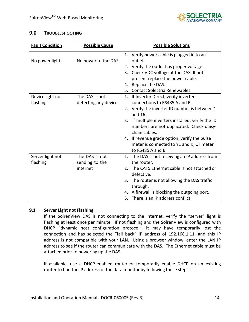

#### **9.0 TROUBLESHOOTING**

| <b>Fault Condition</b> | <b>Possible Cause</b> | <b>Possible Solutions</b>                                 |
|------------------------|-----------------------|-----------------------------------------------------------|
| No power light         | No power to the DAS   | 1. Verify power cable is plugged in to an<br>outlet.      |
|                        |                       | 2. Verify the outlet has proper voltage.                  |
|                        |                       | 3. Check VDC voltage at the DAS, If not                   |
|                        |                       | present replace the power cable.                          |
|                        |                       | Replace the DAS.<br>4.                                    |
|                        |                       | Contact Solectria Renewables.<br>5.                       |
| Device light not       | The DAS is not        | If Inverter Direct, verify inverter<br>1.                 |
| flashing               | detecting any devices | connections to RS485 A and B.                             |
|                        |                       | 2. Verify the inverter ID number is between 1<br>and 16.  |
|                        |                       | If multiple inverters installed, verify the ID<br>3.      |
|                        |                       | numbers are not duplicated. Check daisy-<br>chain cables. |
|                        |                       | 4. If revenue grade option, verify the pulse              |
|                        |                       | meter is connected to Y1 and K, CT meter                  |
|                        |                       | to RS485 A and B.                                         |
| Server light not       | The DAS is not        | The DAS is not receiving an IP address from<br>1.         |
| flashing               | sending to the        | the router.                                               |
|                        | internet              | The CAT5 Ethernet cable is not attached or<br>2.          |
|                        |                       | defective.                                                |
|                        |                       | The router is not allowing the DAS traffic<br>3.          |
|                        |                       | through.                                                  |
|                        |                       | A firewall is blocking the outgoing port.<br>4.           |
|                        |                       | There is an IP address conflict.<br>5.                    |

#### **9.1 Server Light not Flashing**

If the SolrenView DAS is not connecting to the internet, verify the "server" light is flashing at least once per minute. If not flashing and the SolrenView is configured with DHCP "dynamic host configuration protocol", it may have temporarily lost the connection and has selected the "fall back" IP address of 192.168.1.11, and this IP address is not compatible with your LAN. Using a browser window, enter the LAN IP address to see if the router can communicate with the DAS. The Ethernet cable must be attached prior to powering up the DAS.

If available, use a DHCP-enabled router or temporarily enable DHCP on an existing router to find the IP address of the data monitor by following these steps: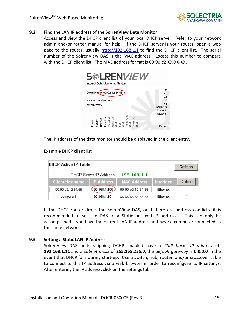

#### **9.2 Find the LAN IP address of the SolrenView Data Monitor**

Access and view the DHCP client list of your local DHCP server. Refer to your network admin and/or router manual for help. If the DHCP server is your router, open a web page to the router, usually http://192.168.1.1 to find the DHCP client list. The serial number of the SolrenView DAS is the MAC address. Locate this number to compare with the DHCP client list. The MAC address format is 00:90:c2:XX‐XX‐XX.



The IP address of the data monitor should be displayed in the client entry.

Example DHCP client list

| DHCP Active IP Table   |                         |                   |                    |           | Refresh |
|------------------------|-------------------------|-------------------|--------------------|-----------|---------|
|                        | DHCP Server IP Address: |                   | 192.168.1.1        |           |         |
| <b>Client Hostname</b> |                         | <b>IP Address</b> | <b>MAC Address</b> | Interface | Delete  |
| 00:90:c2:12:34:56      |                         | 492.168.1.100     | 00-90-c2-12-34-56  | Ethernet  |         |
| computer1              |                         | 192.168.1.101     | XX-XX-XX-XX-XX-XX  | Ethernet  |         |

If the DHCP router drops the SolrenView DAS, or if there are address conflicts, it is recommended to set the DAS to a Static or fixed IP address. This can only be accomplished if you have the current LAN IP address and have a computer connected to the same network.

#### **9.3 Setting a Static LAN IP Address**

SolrenView DAS units shipping DCHP enabled have a *"fall back" IP address*  of **192.168.1.11** and a *subnet mask* of **255.255.255.0**, the *default gateway* is **0.0.0.0** in the event that DHCP fails during start‐up. Use a switch, hub, router, and/or crossover cable to connect to this IP address via a web browser in order to reconfigure its IP settings. After entering the IP address, click on the settings tab.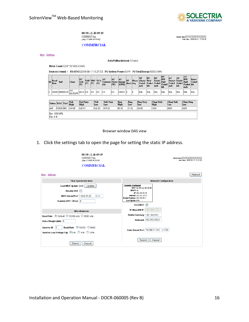

current time:  $2009-08-17$  15:22:07 D ST<br>start time:  $2009-08-17$  17:54:38

00:90:c2:d8:09:f9 C20090817.bin<br>[Aug 17 2009:14:53:46]

**COMMERCIAL** 

Main Settings

Data Polling Interval: 10 secs

Meter Count:1234 \* 0/1000=0 kWh

Device(s) found: 1 RS485#2:[2009-08-17 15:27:03] PV System Power:0.0 W PV Total Energy:1000.0 kWh

| lm                                                                                                                                                                                                                     | . Baud<br>Rate          | S <sub>n#</sub> |                 | <b>Class</b>   | DC<br>Volt<br>$\infty$ | $\infty$ | VAB VBC VCA<br>$\infty$ | $\infty$          | AC<br>Current<br>(A) | AC<br>Power<br>(W) | AС<br>Energy<br>(kWh) | <b>RT</b><br>(hrs) Seq |    | GF<br>Phase Alarm/ Stat/<br>Code1<br>msb | DC<br><b>Code1</b><br>lsb | DC<br>Limit<br>$\sim$ Code2 Fail<br>msh | DC<br><b>HW</b><br>Code2<br><b>lsh</b> | AC<br>Status/Limit/<br>Code <sub>3</sub><br>msh | AС<br>Code <sub>3</sub><br>lsb | AC<br><b>HW</b><br>Fail<br>Code4 Isb<br>msb | Error/<br>Code4 |
|------------------------------------------------------------------------------------------------------------------------------------------------------------------------------------------------------------------------|-------------------------|-----------------|-----------------|----------------|------------------------|----------|-------------------------|-------------------|----------------------|--------------------|-----------------------|------------------------|----|------------------------------------------|---------------------------|-----------------------------------------|----------------------------------------|-------------------------------------------------|--------------------------------|---------------------------------------------|-----------------|
|                                                                                                                                                                                                                        |                         |                 | 19200 080000-00 | PVI<br>60-95kW | 265.0 0.0              |          | 10.0                    | 10.0              | 10.0                 | 10.0               | 1000.0                | In                     | lo | l00h                                     | 44h                       | 100h                                    | 00h                                    | loon.                                           | 00h                            | 00h                                         | 01h             |
| <b>Freq Very</b><br>Volt<br>Volt Very<br>Freq<br><b>Clear Volt</b><br><b>Clear Volt</b><br>Volt<br>Volt Very<br>Freq<br>Token WAC VAC<br>High<br><b>High</b><br>High<br>Low<br>High<br>Low<br>Low<br>Low<br>Lew<br>Low |                         |                 |                 |                |                        |          |                         | <b>Clear Freq</b> |                      |                    |                       |                        |    |                                          |                           |                                         |                                        |                                                 |                                |                                             |                 |
| A88                                                                                                                                                                                                                    |                         | 95000 480       |                 | 514.88         | 528.07                 |          |                         | 421.85            | 479.02               |                    | 60.50                 | 57.81                  |    | 56.98                                    |                           | 1000                                    |                                        | 2000                                            |                                | 2000                                        |                 |
|                                                                                                                                                                                                                        | Eac: 1000 kWh<br>Pac:0W |                 |                 |                |                        |          |                         |                   |                      |                    |                       |                        |    |                                          |                           |                                         |                                        |                                                 |                                |                                             |                 |

Browser window DAS view

1. Click the settings tab to open the page for setting the static IP address.

| 00:90: c2: d8:09: f9<br>C20090817.bin<br>JAug 17 2009:14:53:46]<br><b>COMMERCIAL</b>                               | current time: 2009-08-17 15:22:07 D ST<br>start time: 2009-08-17 17:54:38                                                                                                                       |
|--------------------------------------------------------------------------------------------------------------------|-------------------------------------------------------------------------------------------------------------------------------------------------------------------------------------------------|
| Main Settings                                                                                                      | Reboot                                                                                                                                                                                          |
| <b>Time Synchronization</b>                                                                                        | <b>Network Configuration</b>                                                                                                                                                                    |
| Last NIST Update [N/A] Update<br>Disable DST<br>NIST Server:Port 129.6.15.29<br>$\pm$ 13<br>Standard UTC Offset -5 | <b>Currently Configured</b><br>MAC 00:90:c2:d8:09:f9<br>DHCP On<br>IP 192.168.44.50<br>Netmask 255.255.255.0<br>Router/Gateway 192.168.44.1<br>Last Update N/A<br>Use DHCP $\boxed{\checkmark}$ |
| <b>Miscellaneous</b>                                                                                               | IP (Non-DHCP) 192.168.1.11                                                                                                                                                                      |
| Baud Rate © Default O 19200 only O 9600 only<br>Pulse Weight (WH) 0                                                | Router/Gateway   192.168.44.1<br>Netmask 255,255,255.0                                                                                                                                          |
| Baud Rate <b>①</b> 19200 ○ 9600<br>Inverter ID<br>Inverter Low Voltage Tap . © 0% 0-5% 0-10%                       | Data Server:Port 74.208.71.243 :1236                                                                                                                                                            |
| Submit<br>Cancel                                                                                                   | Submit<br>Cancel                                                                                                                                                                                |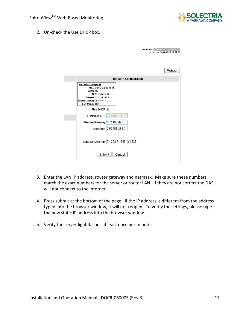

2. Un-check the Use DHCP box.

| current time: 2009-08-17 15:22:07 DST<br>start time: 2009-08-17 17:54:38                                                                                       |
|----------------------------------------------------------------------------------------------------------------------------------------------------------------|
|                                                                                                                                                                |
| Reboot                                                                                                                                                         |
| <b>Network Configuration</b>                                                                                                                                   |
| <b>Currently Configured</b><br>MAC 00:90:c2:d8:09:f9<br>DHCP On<br>IP 192.168.44.50<br>Netmask 255.255.255.0<br>Router/Gateway 192.168.44.1<br>Last Update N/A |
| Use DHCP $\boxed{\triangledown}$                                                                                                                               |
| IP (Non-DHCP)   192.168.1.11                                                                                                                                   |
| Router/Gateway   192.168.44.1                                                                                                                                  |
| Netmask 255.255.255.0                                                                                                                                          |
| Data Server:Port 74.208.71.243<br>: 1236                                                                                                                       |
| Submit<br>Cancel                                                                                                                                               |

- 3. Enter the LAN IP address, router gateway and netmask. Make sure these numbers match the exact numbers for the server or router LAN. If they are not correct the DAS will not connect to the internet.
- 4. Press submit at the bottom of the page. If the IP address is different from the address typed into the browser window, it will not reopen. To verify the settings, please type the new static IP address into the browser window.
- 5. Verify the server light flashes at least once per minute.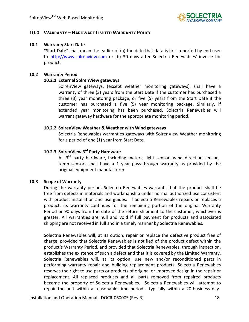

#### **10.0 WARRANTY – HARDWARE LIMITED WARRANTY POLICY**

#### **10.1 Warranty Start Date**

"Start Date" shall mean the earlier of (a) the date that data is first reported by end user to http://www.solrenview.com or (b) 30 days after Solectria Renewables' invoice for product.

#### **10.2 Warranty Period**

#### **10.2.1 External SolrenView gateways**

SolrenView gateways, (except weather monitoring gateways), shall have a warranty of three (3) years from the Start Date if the customer has purchased a three (3) year monitoring package, or five (5) years from the Start Date if the customer has purchased a five (5) year monitoring package. Similarly, if extended year monitoring has been purchased, Solectria Renewables will warrant gateway hardware for the appropriate monitoring period.

#### **10.2.2 SolrenView Weather & Weather with Wind gateways**

Solectria Renewables warranties gateways with SolrenView Weather monitoring for a period of one (1) year from Start Date.

#### **10.2.3 SolrenView 3rd Party Hardware**

All  $3^{rd}$  party hardware, including meters, light sensor, wind direction sensor, temp sensors shall have a 1 year pass‐through warranty as provided by the original equipment manufacturer

#### **10.3 Scope of Warranty**

During the warranty period, Solectria Renewables warrants that the product shall be free from defects in materials and workmanship under normal authorized use consistent with product installation and use guides. If Solectria Renewables repairs or replaces a product, its warranty continues for the remaining portion of the original Warranty Period or 90 days from the date of the return shipment to the customer, whichever is greater. All warranties are null and void if full payment for products and associated shipping are not received in full and in a timely manner by Solectria Renewables.

Solectria Renewables will, at its option, repair or replace the defective product free of charge, provided that Solectria Renewables is notified of the product defect within the product's Warranty Period, and provided that Solectria Renewables, through inspection, establishes the existence of such a defect and that it is covered by the Limited Warranty. Solectria Renewables will, at its option, use new and/or reconditioned parts in performing warranty repair and building replacement products. Solectria Renewables reserves the right to use parts or products of original or improved design in the repair or replacement. All replaced products and all parts removed from repaired products become the property of Solectria Renewables. Solectria Renewables will attempt to repair the unit within a reasonable time period - typically within a 20-business day

Installation and Operation Manual - DOCR-060005 (Rev B) 18 18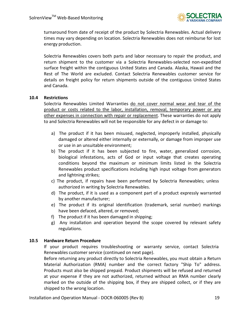

turnaround from date of receipt of the product by Solectria Renewables. Actual delivery times may vary depending on location. Solectria Renewables does not reimburse for lost energy production.

Solectria Renewables covers both parts and labor necessary to repair the product, and return shipment to the customer via a Solectria Renewables‐selected non‐expedited surface freight within the contiguous United States and Canada. Alaska, Hawaii and the Rest of The World are excluded. Contact Solectria Renewables customer service for details on freight policy for return shipments outside of the contiguous United States and Canada.

#### **10.4 Restrictions**

Solectria Renewables Limited Warranties do not cover normal wear and tear of the product or costs related to the labor, installation, removal, temporary power or any other expenses in connection with repair or replacement. These warranties do not apply to and Solectria Renewables will not be responsible for any defect in or damage to:

- a) The product if it has been misused, neglected, improperly installed, physically damaged or altered either internally or externally, or damage from improper use or use in an unsuitable environment;
- b) The product if it has been subjected to fire, water, generalized corrosion, biological infestations, acts of God or input voltage that creates operating conditions beyond the maximum or minimum limits listed in the Solectria Renewables product specifications including high input voltage from generators and lightning strikes;
- c) The product, if repairs have been performed by Solectria Renewables; unless authorized in writing by Solectria Renewables.
- d) The product, if it is used as a component part of a product expressly warranted by another manufacturer;
- e) The product if its original identification (trademark, serial number) markings have been defaced, altered, or removed;
- f) The product if it has been damaged in shipping;
- g) Any installation and operation beyond the scope covered by relevant safety regulations.

#### **10.5 Hardware Return Procedure**

If your product requires troubleshooting or warranty service, contact Solectria Renewables customer service (continued on next page).

Before returning any product directly to Solectria Renewables, you must obtain a Return Material Authorization (RMA) number and the correct factory "Ship To" address. Products must also be shipped prepaid. Product shipments will be refused and returned at your expense if they are not authorized, returned without an RMA number clearly marked on the outside of the shipping box, if they are shipped collect, or if they are shipped to the wrong location.

Installation and Operation Manual - DOCR-060005 (Rev B) 19 19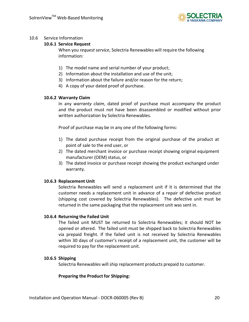

#### 10.6 Service Information

#### **10.6.1 Service Request**

When you *request service*, Solectria Renewables will require the following information:

- 1) The model name and serial number of your product;
- 2) Information about the installation and use of the unit;
- 3) Information about the failure and/or reason for the return;
- 4) A copy of your dated proof of purchase.

#### **10.6.2 Warranty Claim**

In any *warranty claim*, dated proof of purchase must accompany the product and the product must not have been disassembled or modified without prior written authorization by Solectria Renewables.

Proof of purchase may be in any one of the following forms:

- 1) The dated purchase receipt from the original purchase of the product at point of sale to the end user, or
- 2) The dated merchant invoice or purchase receipt showing original equipment manufacturer (OEM) status, or
- 3) The dated invoice or purchase receipt showing the product exchanged under warranty.

#### **10.6.3 Replacement Unit**

Solectria Renewables will send a replacement unit if it is determined that the customer needs a replacement unit in advance of a repair of defective product (shipping cost covered by Solectria Renewables). The defective unit must be returned in the same packaging that the replacement unit was sent in.

#### **10.6.4 Returning the Failed Unit**

The failed unit MUST be returned to Solectria Renewables; it should NOT be opened or altered. The failed unit must be shipped back to Solectria Renewables via prepaid freight. If the failed unit is not received by Solectria Renewables within 30 days of customer's receipt of a replacement unit, the customer will be required to pay for the replacement unit.

#### **10.6.5 Shipping**

Solectria Renewables will ship replacement products prepaid to customer.

#### **Preparing the Product for Shipping:**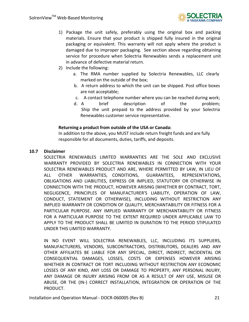

- 1) Package the unit safely, preferably using the original box and packing materials. Ensure that your product is shipped fully insured in the original packaging or equivalent. This warranty will not apply where the product is damaged due to improper packaging. See section above regarding obtaining service for procedure when Solectria Renewables sends a replacement unit in advance of defective material return.
- 2) Include the following:
	- a. The RMA number supplied by Solectria Renewables, LLC clearly marked on the outside of the box;
	- b. A return address to which the unit can be shipped. Post office boxes are not acceptable;
	- c. A contact telephone number where you can be reached during work;
	- d. A brief description of the problem; Ship the unit prepaid to the address provided by your Solectria Renewables customer service representative.

#### **Returning a product from outside of the USA or Canada:**

In addition to the above, you MUST include return freight funds and are fully responsible for all documents, duties, tariffs, and deposits.

#### **10.7 Disclaimer**

SOLECTRIA RENEWABLES LIMITED WARRANTIES ARE THE SOLE AND EXCLUSIVE WARRANTY PROVIDED BY SOLECTRIA RENEWABLES IN CONNECTION WITH YOUR SOLECTRIA RENEWABLES PRODUCT AND ARE, WHERE PERMITTED BY LAW, IN LIEU OF ALL OTHER WARRANTIES, CONDITIONS, GUARANTEES, REPRESENTATIONS, OBLIGATIONS AND LIABILITIES, EXPRESS OR IMPLIED, STATUTORY OR OTHERWISE IN CONNECTION WITH THE PRODUCT, HOWEVER ARISING (WHETHER BY CONTRACT, TORT, NEGLIGENCE, PRINCIPLES OF MANUFACTURER'S LIABILITY, OPERATION OF LAW, CONDUCT, STATEMENT OR OTHERWISE), INCLUDING WITHOUT RESTRICTION ANY IMPLIED WARRANTY OR CONDITION OF QUALITY, MERCHANTABILITY OR FITNESS FOR A PARTICULAR PURPOSE. ANY IMPLIED WARRANTY OF MERCHANTABILITY OR FITNESS FOR A PARTICULAR PURPOSE TO THE EXTENT REQUIRED UNDER APPLICABLE LAW TO APPLY TO THE PRODUCT SHALL BE LIMITED IN DURATION TO THE PERIOD STIPULATED UNDER THIS LIMITED WARRANTY.

IN NO EVENT WILL SOLECTRIA RENEWABLES, LLC, INCLUDING ITS SUPPLIERS, MANUFACTURERS, VENDORS, SUBCONTRACTORS, DISTRIBUTORS, DEALERS AND ANY OTHER AFFILIATES BE LIABLE FOR ANY SPECIAL, DIRECT, INDIRECT, INCIDENTAL OR CONSEQUENTIAL DAMAGES, LOSSES, COSTS OR EXPENSES HOWEVER ARISING WHETHER IN CONTRACT OR TORT INCLUDING WITHOUT RESTRICTION ANY ECONOMIC LOSSES OF ANY KIND, ANY LOSS OR DAMAGE TO PROPERTY, ANY PERSONAL INJURY, ANY DAMAGE OR INJURY ARISING FROM OR AS A RESULT OF ANY USE, MISUSE OR ABUSE, OR THE (IN‐) CORRECT INSTALLATION, INTEGRATION OR OPERATION OF THE PRODUCT.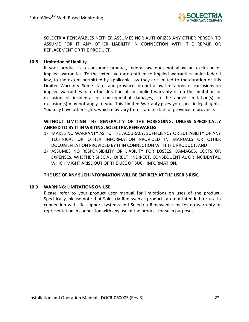

SOLECTRIA RENEWABLES NEITHER ASSUMES NOR AUTHORIZES ANY OTHER PERSON TO ASSUME FOR IT ANY OTHER LIABILITY IN CONNECTION WITH THE REPAIR OR REPLACEMENT OR THE PRODUCT.

#### **10.8 Limitation of Liability**

If your product is a consumer product, federal law does not allow an exclusion of implied warranties. To the extent you are entitled to implied warranties under federal law, to the extent permitted by applicable law they are limited to the duration of this Limited Warranty. Some states and provinces do not allow limitations or exclusions on implied warranties or on the duration of an implied warranty or on the limitation or exclusion of incidental or consequential damages, so the above limitation(s) or exclusion(s) may not apply to you. This Limited Warranty gives you specific legal rights. You may have other rights, which may vary from state to state or province to province.

#### **WITHOUT LIMITING THE GENERALITY OF THE FOREGOING, UNLESS SPECIFICALLY AGREED TO BY IT IN WRITING, SOLECTRIA RENEWABLES**

- 1) MAKES NO WARRANTY AS TO THE ACCURACY, SUFFICIENCY OR SUITABILITY OF ANY TECHNICAL OR OTHER INFORMATION PROVIDED IN MANUALS OR OTHER DOCUMENTATION PROVIDED BY IT IN CONNECTION WITH THE PRODUCT; AND
- 2) ASSUMES NO RESPONSIBILITY OR LIABILITY FOR LOSSES, DAMAGES, COSTS OR EXPENSES, WHETHER SPECIAL, DIRECT, INDIRECT, CONSEQUENTIAL OR INCIDENTAL, WHICH MIGHT ARISE OUT OF THE USE OF SUCH INFORMATION.

#### **THE USE OF ANY SUCH INFORMATION WILL BE ENTIRELY AT THE USER'S RISK.**

#### **10.9 WARNING: LIMITATIONS ON USE**

Please refer to your product user manual for limitations on uses of the product. Specifically, please note that Solectria Renewables products are not intended for use in connection with life support systems and Solectria Renewables makes no warranty or representation in connection with any use of the product for such purposes.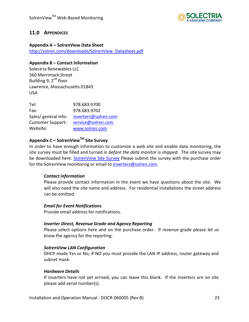

#### **11.0 APPENDICES**

#### **Appendix A – SolrenView Data Sheet**

http://solren.com/downloads/SolrenView\_Datasheet.pdf

#### **Appendix B – Contact Information**

Solectria Renewables LLC 360 Merrimack Street Building 9,  $2^{nd}$  floor Lawrence, Massachusetts 01843 USA

| Tel:                     | 978.683.9700         |
|--------------------------|----------------------|
| Fax:                     | 978.683.9702         |
| Sales/ general info:     | inverters@solren.com |
| <b>Customer Support:</b> | service@solren.com   |
| Website:                 | www.solren.com       |

#### **Appendix C – SolrenViewTM Site Survey**

In order to have enough information to customize a web site and enable data monitoring, the site survey must be filled and turned in *before the data monitor is shipped*. The site survey may be downloaded here: SolrenView Site Survey Please submit the survey with the purchase order for the SolrenView monitoring or email to *inverters@solren.com.* 

#### *Contact information*

Please provide contact information in the event we have questions about the site. We will also need the site name and address. For residential installations the street address can be omitted.

#### *Email for Event Notification***s**

Provide email address for notifications.

#### *Inverter Direct, Revenue Grade and Agency Reporting*

Please select options here and on the purchase order. If revenue grade please let us know the agency for the reporting.

#### *SolrenView LAN Configuration*

DHCP mode Yes or No, if NO you must provide the LAN IP address, router gateway and subnet mask.

#### *Hardware Details*

If inverters have not yet arrived, you can leave this blank. If the inverters are on site please add serial number(s).